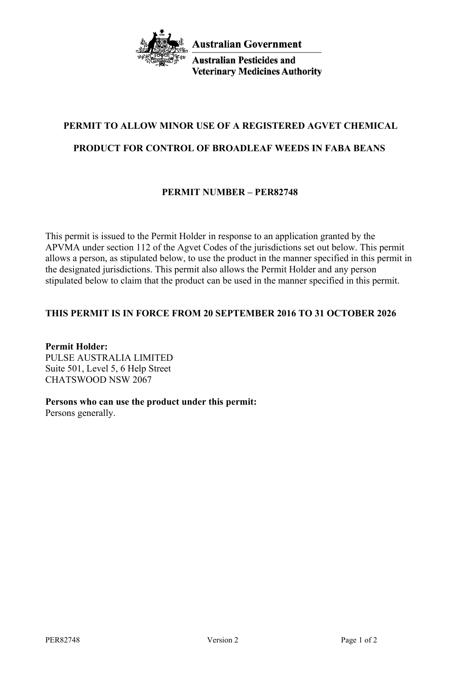

**Australian Pesticides and Veterinary Medicines Authority** 

# **PERMIT TO ALLOW MINOR USE OF A REGISTERED AGVET CHEMICAL**

# **PRODUCT FOR CONTROL OF BROADLEAF WEEDS IN FABA BEANS**

# **PERMIT NUMBER – PER82748**

This permit is issued to the Permit Holder in response to an application granted by the APVMA under section 112 of the Agvet Codes of the jurisdictions set out below. This permit allows a person, as stipulated below, to use the product in the manner specified in this permit in the designated jurisdictions. This permit also allows the Permit Holder and any person stipulated below to claim that the product can be used in the manner specified in this permit.

# **THIS PERMIT IS IN FORCE FROM 20 SEPTEMBER 2016 TO 31 OCTOBER 2026**

**Permit Holder:** PULSE AUSTRALIA LIMITED Suite 501, Level 5, 6 Help Street CHATSWOOD NSW 2067

# **Persons who can use the product under this permit:**

Persons generally.